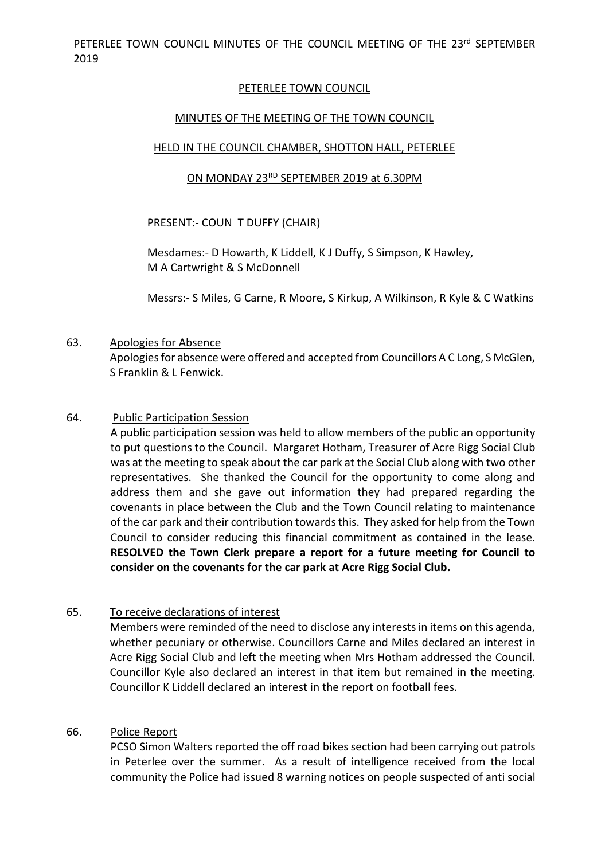### PETERLEE TOWN COUNCIL

### MINUTES OF THE MEETING OF THE TOWN COUNCIL

#### HELD IN THE COUNCIL CHAMBER, SHOTTON HALL, PETERLEE

### ON MONDAY 23RD SEPTEMBER 2019 at 6.30PM

PRESENT:- COUN T DUFFY (CHAIR)

Mesdames:- D Howarth, K Liddell, K J Duffy, S Simpson, K Hawley, M A Cartwright & S McDonnell

Messrs:- S Miles, G Carne, R Moore, S Kirkup, A Wilkinson, R Kyle & C Watkins

#### 63. Apologies for Absence

Apologies for absence were offered and accepted from Councillors A C Long, S McGlen, S Franklin & L Fenwick.

#### 64. Public Participation Session

A public participation session was held to allow members of the public an opportunity to put questions to the Council. Margaret Hotham, Treasurer of Acre Rigg Social Club was at the meeting to speak about the car park at the Social Club along with two other representatives. She thanked the Council for the opportunity to come along and address them and she gave out information they had prepared regarding the covenants in place between the Club and the Town Council relating to maintenance of the car park and their contribution towards this. They asked for help from the Town Council to consider reducing this financial commitment as contained in the lease. **RESOLVED the Town Clerk prepare a report for a future meeting for Council to consider on the covenants for the car park at Acre Rigg Social Club.** 

#### 65. To receive declarations of interest

Members were reminded of the need to disclose any interests in items on this agenda, whether pecuniary or otherwise. Councillors Carne and Miles declared an interest in Acre Rigg Social Club and left the meeting when Mrs Hotham addressed the Council. Councillor Kyle also declared an interest in that item but remained in the meeting. Councillor K Liddell declared an interest in the report on football fees.

#### 66. Police Report

PCSO Simon Walters reported the off road bikes section had been carrying out patrols in Peterlee over the summer. As a result of intelligence received from the local community the Police had issued 8 warning notices on people suspected of anti social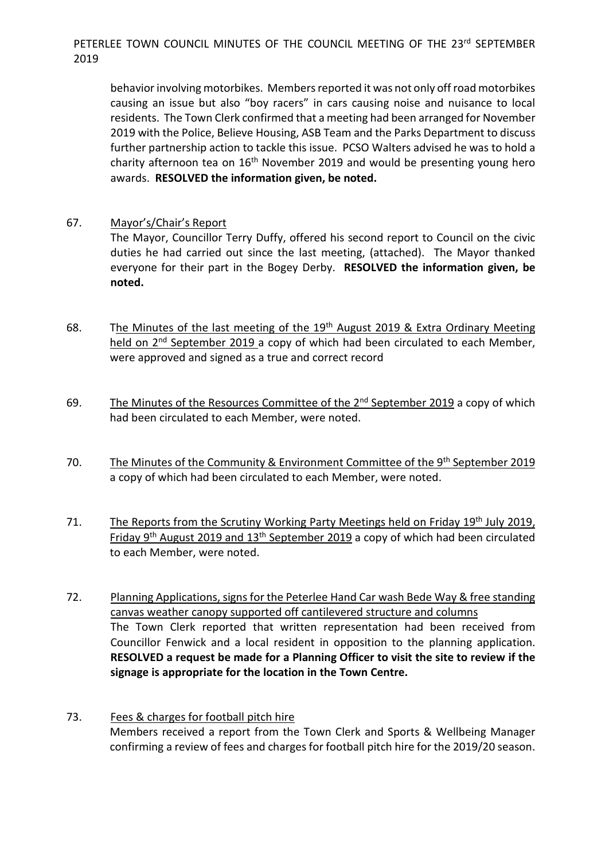behavior involving motorbikes. Members reported it was not only off road motorbikes causing an issue but also "boy racers" in cars causing noise and nuisance to local residents. The Town Clerk confirmed that a meeting had been arranged for November 2019 with the Police, Believe Housing, ASB Team and the Parks Department to discuss further partnership action to tackle this issue. PCSO Walters advised he was to hold a charity afternoon tea on  $16<sup>th</sup>$  November 2019 and would be presenting young hero awards. **RESOLVED the information given, be noted.**

67. Mayor's/Chair's Report

The Mayor, Councillor Terry Duffy, offered his second report to Council on the civic duties he had carried out since the last meeting, (attached). The Mayor thanked everyone for their part in the Bogey Derby. **RESOLVED the information given, be noted.**

- 68. The Minutes of the last meeting of the  $19<sup>th</sup>$  August 2019 & Extra Ordinary Meeting held on 2<sup>nd</sup> September 2019 a copy of which had been circulated to each Member, were approved and signed as a true and correct record
- 69. The Minutes of the Resources Committee of the  $2<sup>nd</sup>$  September 2019 a copy of which had been circulated to each Member, were noted.
- 70. The Minutes of the Community & Environment Committee of the 9<sup>th</sup> September 2019 a copy of which had been circulated to each Member, were noted.
- 71. The Reports from the Scrutiny Working Party Meetings held on Friday 19<sup>th</sup> July 2019, Friday  $9<sup>th</sup>$  August 2019 and 13<sup>th</sup> September 2019 a copy of which had been circulated to each Member, were noted.
- 72. Planning Applications, signs for the Peterlee Hand Car wash Bede Way & free standing canvas weather canopy supported off cantilevered structure and columns The Town Clerk reported that written representation had been received from Councillor Fenwick and a local resident in opposition to the planning application. **RESOLVED a request be made for a Planning Officer to visit the site to review if the signage is appropriate for the location in the Town Centre.**
- 73. Fees & charges for football pitch hire Members received a report from the Town Clerk and Sports & Wellbeing Manager confirming a review of fees and charges for football pitch hire for the 2019/20 season.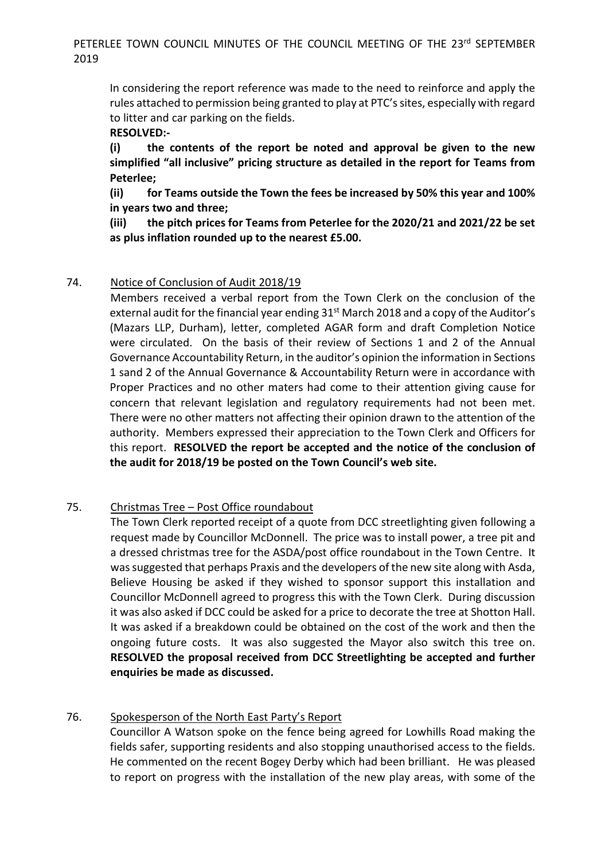In considering the report reference was made to the need to reinforce and apply the rules attached to permission being granted to play at PTC's sites, especially with regard to litter and car parking on the fields.

## **RESOLVED:-**

**(i) the contents of the report be noted and approval be given to the new simplified "all inclusive" pricing structure as detailed in the report for Teams from Peterlee;** 

**(ii) for Teams outside the Town the fees be increased by 50% this year and 100% in years two and three;** 

**(iii) the pitch prices for Teams from Peterlee for the 2020/21 and 2021/22 be set as plus inflation rounded up to the nearest £5.00.** 

## 74. Notice of Conclusion of Audit 2018/19

 Members received a verbal report from the Town Clerk on the conclusion of the external audit for the financial year ending 31<sup>st</sup> March 2018 and a copy of the Auditor's (Mazars LLP, Durham), letter, completed AGAR form and draft Completion Notice were circulated. On the basis of their review of Sections 1 and 2 of the Annual Governance Accountability Return, in the auditor's opinion the information in Sections 1 sand 2 of the Annual Governance & Accountability Return were in accordance with Proper Practices and no other maters had come to their attention giving cause for concern that relevant legislation and regulatory requirements had not been met. There were no other matters not affecting their opinion drawn to the attention of the authority. Members expressed their appreciation to the Town Clerk and Officers for this report. **RESOLVED the report be accepted and the notice of the conclusion of the audit for 2018/19 be posted on the Town Council's web site.** 

## 75. Christmas Tree – Post Office roundabout

 The Town Clerk reported receipt of a quote from DCC streetlighting given following a request made by Councillor McDonnell. The price was to install power, a tree pit and a dressed christmas tree for the ASDA/post office roundabout in the Town Centre. It was suggested that perhaps Praxis and the developers of the new site along with Asda, Believe Housing be asked if they wished to sponsor support this installation and Councillor McDonnell agreed to progress this with the Town Clerk. During discussion it was also asked if DCC could be asked for a price to decorate the tree at Shotton Hall. It was asked if a breakdown could be obtained on the cost of the work and then the ongoing future costs. It was also suggested the Mayor also switch this tree on. **RESOLVED the proposal received from DCC Streetlighting be accepted and further enquiries be made as discussed.** 

## 76. Spokesperson of the North East Party's Report

Councillor A Watson spoke on the fence being agreed for Lowhills Road making the fields safer, supporting residents and also stopping unauthorised access to the fields. He commented on the recent Bogey Derby which had been brilliant. He was pleased to report on progress with the installation of the new play areas, with some of the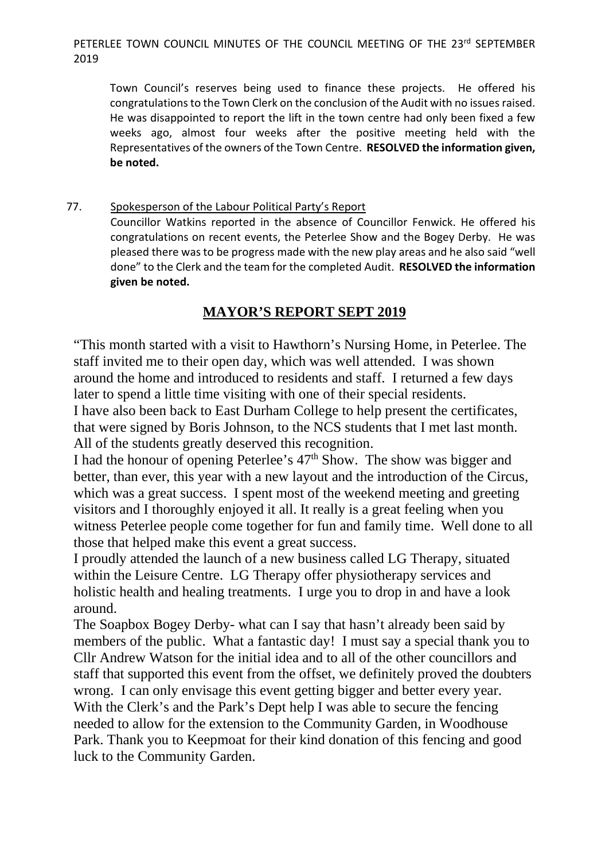Town Council's reserves being used to finance these projects. He offered his congratulations to the Town Clerk on the conclusion of the Audit with no issues raised. He was disappointed to report the lift in the town centre had only been fixed a few weeks ago, almost four weeks after the positive meeting held with the Representatives of the owners of the Town Centre. **RESOLVED the information given, be noted.** 

77. Spokesperson of the Labour Political Party's Report Councillor Watkins reported in the absence of Councillor Fenwick. He offered his congratulations on recent events, the Peterlee Show and the Bogey Derby. He was pleased there was to be progress made with the new play areas and he also said "well done" to the Clerk and the team for the completed Audit. **RESOLVED the information given be noted.** 

# **MAYOR'S REPORT SEPT 2019**

"This month started with a visit to Hawthorn's Nursing Home, in Peterlee. The staff invited me to their open day, which was well attended. I was shown around the home and introduced to residents and staff. I returned a few days later to spend a little time visiting with one of their special residents. I have also been back to East Durham College to help present the certificates, that were signed by Boris Johnson, to the NCS students that I met last month.

All of the students greatly deserved this recognition. I had the honour of opening Peterlee's  $47<sup>th</sup>$  Show. The show was bigger and better, than ever, this year with a new layout and the introduction of the Circus, which was a great success. I spent most of the weekend meeting and greeting visitors and I thoroughly enjoyed it all. It really is a great feeling when you witness Peterlee people come together for fun and family time. Well done to all

those that helped make this event a great success. I proudly attended the launch of a new business called LG Therapy, situated

within the Leisure Centre. LG Therapy offer physiotherapy services and holistic health and healing treatments. I urge you to drop in and have a look around.

The Soapbox Bogey Derby- what can I say that hasn't already been said by members of the public. What a fantastic day! I must say a special thank you to Cllr Andrew Watson for the initial idea and to all of the other councillors and staff that supported this event from the offset, we definitely proved the doubters wrong. I can only envisage this event getting bigger and better every year. With the Clerk's and the Park's Dept help I was able to secure the fencing needed to allow for the extension to the Community Garden, in Woodhouse Park. Thank you to Keepmoat for their kind donation of this fencing and good luck to the Community Garden.